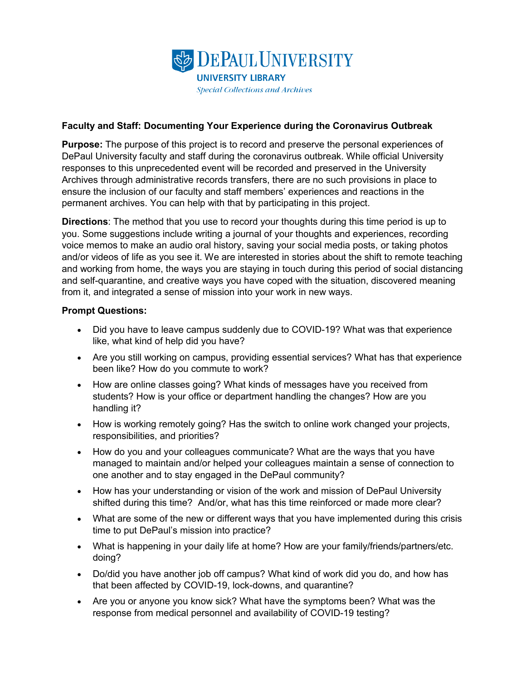

## **Faculty and Staff: Documenting Your Experience during the Coronavirus Outbreak**

**Purpose:** The purpose of this project is to record and preserve the personal experiences of DePaul University faculty and staff during the coronavirus outbreak. While official University responses to this unprecedented event will be recorded and preserved in the University Archives through administrative records transfers, there are no such provisions in place to ensure the inclusion of our faculty and staff members' experiences and reactions in the permanent archives. You can help with that by participating in this project.

**Directions**: The method that you use to record your thoughts during this time period is up to you. Some suggestions include writing a journal of your thoughts and experiences, recording voice memos to make an audio oral history, saving your social media posts, or taking photos and/or videos of life as you see it. We are interested in stories about the shift to remote teaching and working from home, the ways you are staying in touch during this period of social distancing and self-quarantine, and creative ways you have coped with the situation, discovered meaning from it, and integrated a sense of mission into your work in new ways.

## **Prompt Questions:**

- Did you have to leave campus suddenly due to COVID-19? What was that experience like, what kind of help did you have?
- Are you still working on campus, providing essential services? What has that experience been like? How do you commute to work?
- How are online classes going? What kinds of messages have you received from students? How is your office or department handling the changes? How are you handling it?
- How is working remotely going? Has the switch to online work changed your projects, responsibilities, and priorities?
- How do you and your colleagues communicate? What are the ways that you have managed to maintain and/or helped your colleagues maintain a sense of connection to one another and to stay engaged in the DePaul community?
- How has your understanding or vision of the work and mission of DePaul University shifted during this time? And/or, what has this time reinforced or made more clear?
- What are some of the new or different ways that you have implemented during this crisis time to put DePaul's mission into practice?
- What is happening in your daily life at home? How are your family/friends/partners/etc. doing?
- Do/did you have another job off campus? What kind of work did you do, and how has that been affected by COVID-19, lock-downs, and quarantine?
- Are you or anyone you know sick? What have the symptoms been? What was the response from medical personnel and availability of COVID-19 testing?